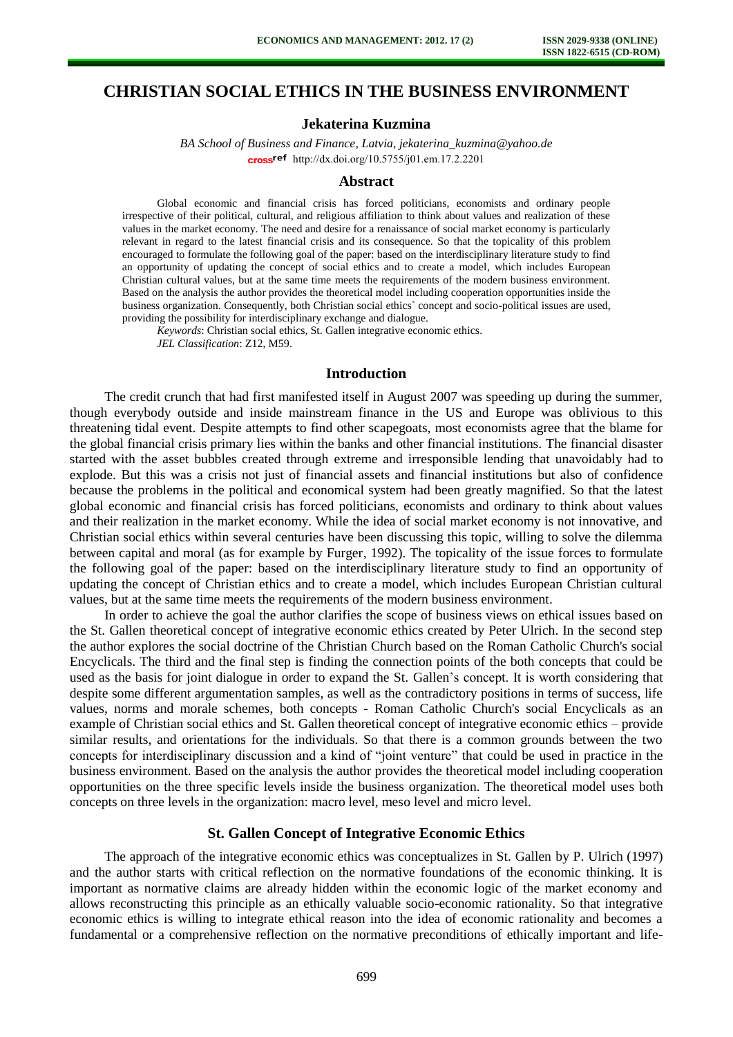# **CHRISTIAN SOCIAL ETHICS IN THE BUSINESS ENVIRONMENT**

## **Jekaterina Kuzmina**

*BA School of Business and Finance, Latvia, jekaterina\_kuzmina@yahoo.de*  [http://dx.doi.org/10.5755/j01.e](http://dx.doi.org/10.5755/j01.em.17.2.2201)m.17.2.2201

#### **Abstract**

Global economic and financial crisis has forced politicians, economists and ordinary people irrespective of their political, cultural, and religious affiliation to think about values and realization of these values in the market economy. The need and desire for a renaissance of social market economy is particularly relevant in regard to the latest financial crisis and its consequence. So that the topicality of this problem encouraged to formulate the following goal of the paper: based on the interdisciplinary literature study to find an opportunity of updating the concept of social ethics and to create a model, which includes European Christian cultural values, but at the same time meets the requirements of the modern business environment. Based on the analysis the author provides the theoretical model including cooperation opportunities inside the business organization. Consequently, both Christian social ethics` concept and socio-political issues are used, providing the possibility for interdisciplinary exchange and dialogue.

*Keywords*: Christian social ethics, St. Gallen integrative economic ethics. *JEL Classification*: Z12, M59.

#### **Introduction**

The credit crunch that had first manifested itself in August 2007 was speeding up during the summer, though everybody outside and inside mainstream finance in the US and Europe was oblivious to this threatening tidal event. Despite attempts to find other scapegoats, most economists agree that the blame for the global financial crisis primary lies within the banks and other financial institutions. The financial disaster started with the asset bubbles created through extreme and irresponsible lending that unavoidably had to explode. But this was a crisis not just of financial assets and financial institutions but also of confidence because the problems in the political and economical system had been greatly magnified. So that the latest global economic and financial crisis has forced politicians, economists and ordinary to think about values and their realization in the market economy. While the idea of social market economy is not innovative, and Christian social ethics within several centuries have been discussing this topic, willing to solve the dilemma between capital and moral (as for example by Furger, 1992). The topicality of the issue forces to formulate the following goal of the paper: based on the interdisciplinary literature study to find an opportunity of updating the concept of Christian ethics and to create a model, which includes European Christian cultural values, but at the same time meets the requirements of the modern business environment.

In order to achieve the goal the author clarifies the scope of business views on ethical issues based on the St. Gallen theoretical concept of integrative economic ethics created by Peter Ulrich. In the second step the author explores the social doctrine of the Christian Church based on the Roman Catholic Church's social Encyclicals. The third and the final step is finding the connection points of the both concepts that could be used as the basis for joint dialogue in order to expand the St. Gallen's concept. It is worth considering that despite some different argumentation samples, as well as the contradictory positions in terms of success, life values, norms and morale schemes, both concepts - Roman Catholic Church's social Encyclicals as an example of Christian social ethics and St. Gallen theoretical concept of integrative economic ethics – provide similar results, and orientations for the individuals. So that there is a common grounds between the two concepts for interdisciplinary discussion and a kind of "joint venture" that could be used in practice in the business environment. Based on the analysis the author provides the theoretical model including cooperation opportunities on the three specific levels inside the business organization. The theoretical model uses both concepts on three levels in the organization: macro level, meso level and micro level.

#### **St. Gallen Concept of Integrative Economic Ethics**

The approach of the integrative economic ethics was conceptualizes in St. Gallen by P. Ulrich (1997) and the author starts with critical reflection on the normative foundations of the economic thinking. It is important as normative claims are already hidden within the economic logic of the market economy and allows reconstructing this principle as an ethically valuable socio-economic rationality. So that integrative economic ethics is willing to integrate ethical reason into the idea of economic rationality and becomes a fundamental or a comprehensive reflection on the normative preconditions of ethically important and life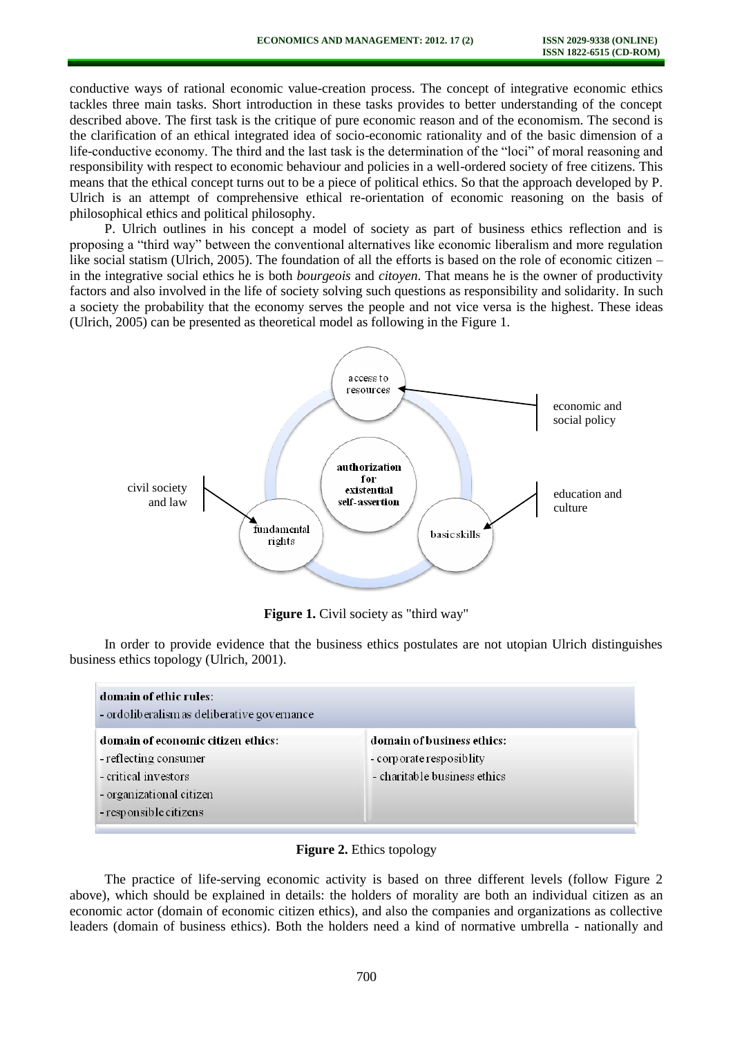conductive ways of rational economic value-creation process. The concept of integrative economic ethics tackles three main tasks. Short introduction in these tasks provides to better understanding of the concept described above. The first task is the critique of pure economic reason and of the economism. The second is the clarification of an ethical integrated idea of socio-economic rationality and of the basic dimension of a life-conductive economy. The third and the last task is the determination of the "loci" of moral reasoning and responsibility with respect to economic behaviour and policies in a well-ordered society of free citizens. This means that the ethical concept turns out to be a piece of political ethics. So that the approach developed by P. Ulrich is an attempt of comprehensive ethical re-orientation of economic reasoning on the basis of philosophical ethics and political philosophy.

P. Ulrich outlines in his concept a model of society as part of business ethics reflection and is proposing a "third way" between the conventional alternatives like economic liberalism and more regulation like social statism (Ulrich, 2005). The foundation of all the efforts is based on the role of economic citizen – in the integrative social ethics he is both *bourgeois* and *citoyen*. That means he is the owner of productivity factors and also involved in the life of society solving such questions as responsibility and solidarity. In such a society the probability that the economy serves the people and not vice versa is the highest. These ideas (Ulrich, 2005) can be presented as theoretical model as following in the Figure 1.



**Figure 1.** Civil society as "third way"

In order to provide evidence that the business ethics postulates are not utopian Ulrich distinguishes business ethics topology (Ulrich, 2001).

| domain of ethic rules:<br>- ordoliberalism as deliberative governance                                                                     |                                                                                         |
|-------------------------------------------------------------------------------------------------------------------------------------------|-----------------------------------------------------------------------------------------|
| domain of economic citizen ethics:<br>- reflecting consumer<br>- critical investors<br>- organizational citizen<br>- responsible citizens | domain of business ethics:<br>- corporate resposibility<br>- charitable business ethics |

#### **Figure 2.** Ethics topology

The practice of life-serving economic activity is based on three different levels (follow Figure 2 above), which should be explained in details: the holders of morality are both an individual citizen as an economic actor (domain of economic citizen ethics), and also the companies and organizations as collective leaders (domain of business ethics). Both the holders need a kind of normative umbrella - nationally and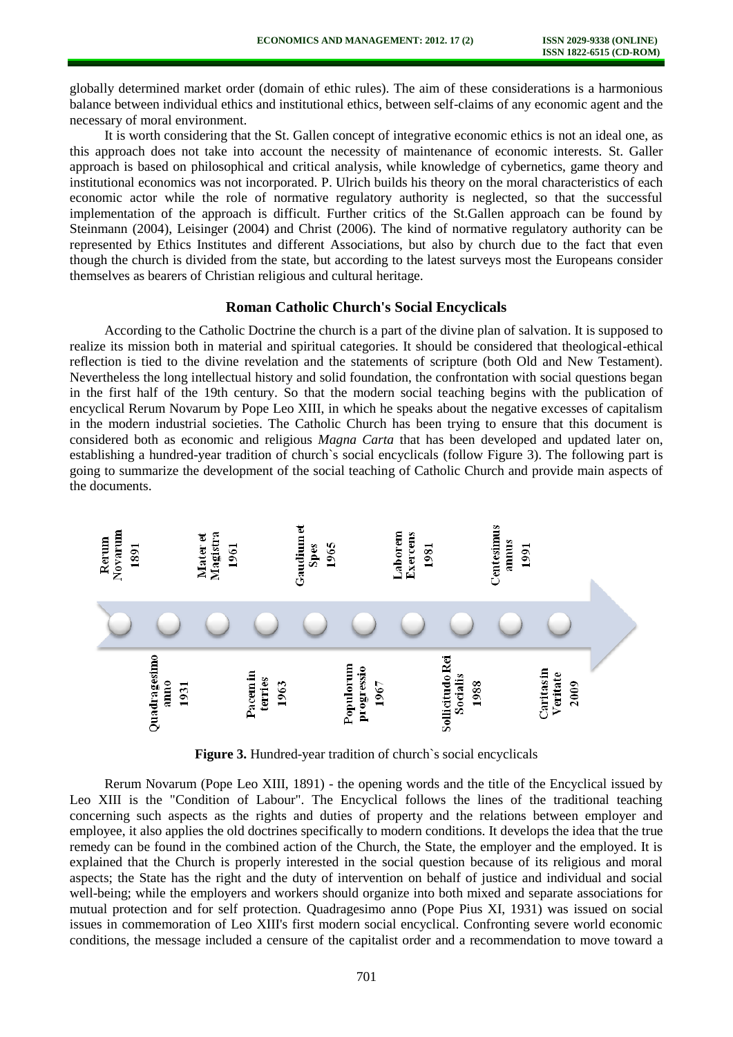globally determined market order (domain of ethic rules). The aim of these considerations is a harmonious balance between individual ethics and institutional ethics, between self-claims of any economic agent and the necessary of moral environment.

It is worth considering that the St. Gallen concept of integrative economic ethics is not an ideal one, as this approach does not take into account the necessity of maintenance of economic interests. St. Galler approach is based on philosophical and critical analysis, while knowledge of cybernetics, game theory and institutional economics was not incorporated. P. Ulrich builds his theory on the moral characteristics of each economic actor while the role of normative regulatory authority is neglected, so that the successful implementation of the approach is difficult. Further critics of the St.Gallen approach can be found by Steinmann (2004), Leisinger (2004) and Christ (2006). The kind of normative regulatory authority can be represented by Ethics Institutes and different Associations, but also by church due to the fact that even though the church is divided from the state, but according to the latest surveys most the Europeans consider themselves as bearers of Christian religious and cultural heritage.

### **Roman Catholic Church's Social Encyclicals**

According to the Catholic Doctrine the church is a part of the divine plan of salvation. It is supposed to realize its mission both in material and spiritual categories. It should be considered that theological-ethical reflection is tied to the divine revelation and the statements of scripture (both Old and New Testament). Nevertheless the long intellectual history and solid foundation, the confrontation with social questions began in the first half of the 19th century. So that the modern social teaching begins with the publication of encyclical Rerum Novarum by Pope Leo XIII, in which he speaks about the negative excesses of capitalism in the modern industrial societies. The Catholic Church has been trying to ensure that this document is considered both as economic and religious *Magna Carta* that has been developed and updated later on, establishing a hundred-year tradition of church`s social encyclicals (follow Figure 3). The following part is going to summarize the development of the social teaching of Catholic Church and provide main aspects of the documents.



**Figure 3.** Hundred-year tradition of church`s social encyclicals

Rerum Novarum (Pope Leo XIII, 1891) - the opening words and the title of the Encyclical issued by Leo XIII is the "Condition of Labour". The Encyclical follows the lines of the traditional teaching concerning such aspects as the rights and duties of property and the relations between employer and employee, it also applies the old doctrines specifically to modern conditions. It develops the idea that the true remedy can be found in the combined action of the Church, the State, the employer and the employed. It is explained that the Church is properly interested in the social question because of its religious and moral aspects; the State has the right and the duty of intervention on behalf of justice and individual and social well-being; while the employers and workers should organize into both mixed and separate associations for mutual protection and for self protection. Quadragesimo anno (Pope Pius XI, 1931) was issued on social issues in commemoration of Leo XIII's first modern social encyclical. Confronting severe world economic conditions, the message included a censure of the capitalist order and a recommendation to move toward a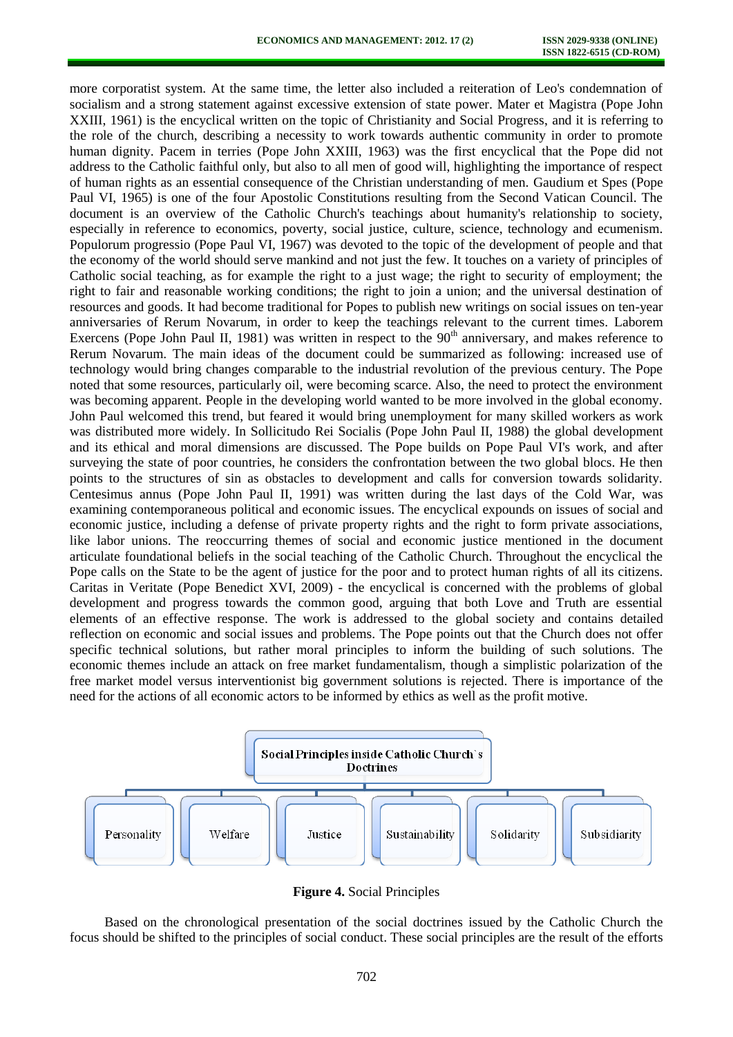more corporatist system. At the same time, the letter also included a reiteration of Leo's condemnation of socialism and a strong statement against excessive extension of state power. Mater et Magistra (Pope John XXIII, 1961) is the encyclical written on the topic of Christianity and Social Progress, and it is referring to the role of the church, describing a necessity to work towards authentic community in order to promote human dignity. Pacem in terries (Pope John XXIII, 1963) was the first encyclical that the Pope did not address to the Catholic faithful only, but also to all men of good will, highlighting the importance of respect of human rights as an essential consequence of the Christian understanding of men. Gaudium et Spes (Pope Paul VI, 1965) is one of the four Apostolic Constitutions resulting from the Second Vatican Council. The document is an overview of the Catholic Church's teachings about humanity's relationship to society, especially in reference to economics, poverty, social justice, culture, science, technology and ecumenism. Populorum progressio (Pope Paul VI, 1967) was devoted to the topic of the development of people and that the economy of the world should serve mankind and not just the few. It touches on a variety of principles of Catholic social teaching, as for example the right to a just wage; the right to security of employment; the right to fair and reasonable working conditions; the right to join a union; and the universal destination of resources and goods. It had become traditional for Popes to publish new writings on social issues on ten-year anniversaries of Rerum Novarum, in order to keep the teachings relevant to the current times. Laborem Exercens (Pope John Paul II, 1981) was written in respect to the  $90<sup>th</sup>$  anniversary, and makes reference to Rerum Novarum. The main ideas of the document could be summarized as following: increased use of technology would bring changes comparable to the industrial revolution of the previous century. The Pope noted that some resources, particularly oil, were becoming scarce. Also, the need to protect the environment was becoming apparent. People in the developing world wanted to be more involved in the global economy. John Paul welcomed this trend, but feared it would bring unemployment for many skilled workers as work was distributed more widely. In Sollicitudo Rei Socialis (Pope John Paul II, 1988) the global development and its ethical and moral dimensions are discussed. The Pope builds on Pope Paul VI's work, and after surveying the state of poor countries, he considers the confrontation between the two global blocs. He then points to the structures of sin as obstacles to development and calls for conversion towards solidarity. Centesimus annus (Pope John Paul II, 1991) was written during the last days of the Cold War, was examining contemporaneous political and economic issues. The encyclical expounds on issues of social and economic justice, including a defense of private property rights and the right to form private associations, like labor unions. The reoccurring themes of social and economic justice mentioned in the document articulate foundational beliefs in the social teaching of the Catholic Church. Throughout the encyclical the Pope calls on the State to be the agent of justice for the poor and to protect human rights of all its citizens. Caritas in Veritate (Pope Benedict XVI, 2009) - the encyclical is concerned with the problems of global development and progress towards the common good, arguing that both Love and Truth are essential elements of an effective response. The work is addressed to the global society and contains detailed reflection on economic and social issues and problems. The Pope points out that the Church does not offer specific technical solutions, but rather moral principles to inform the building of such solutions. The economic themes include an attack on free market fundamentalism, though a simplistic polarization of the free market model versus interventionist big government solutions is rejected. There is importance of the need for the actions of all economic actors to be informed by ethics as well as the profit motive.



**Figure 4.** Social Principles

Based on the chronological presentation of the social doctrines issued by the Catholic Church the focus should be shifted to the principles of social conduct. These social principles are the result of the efforts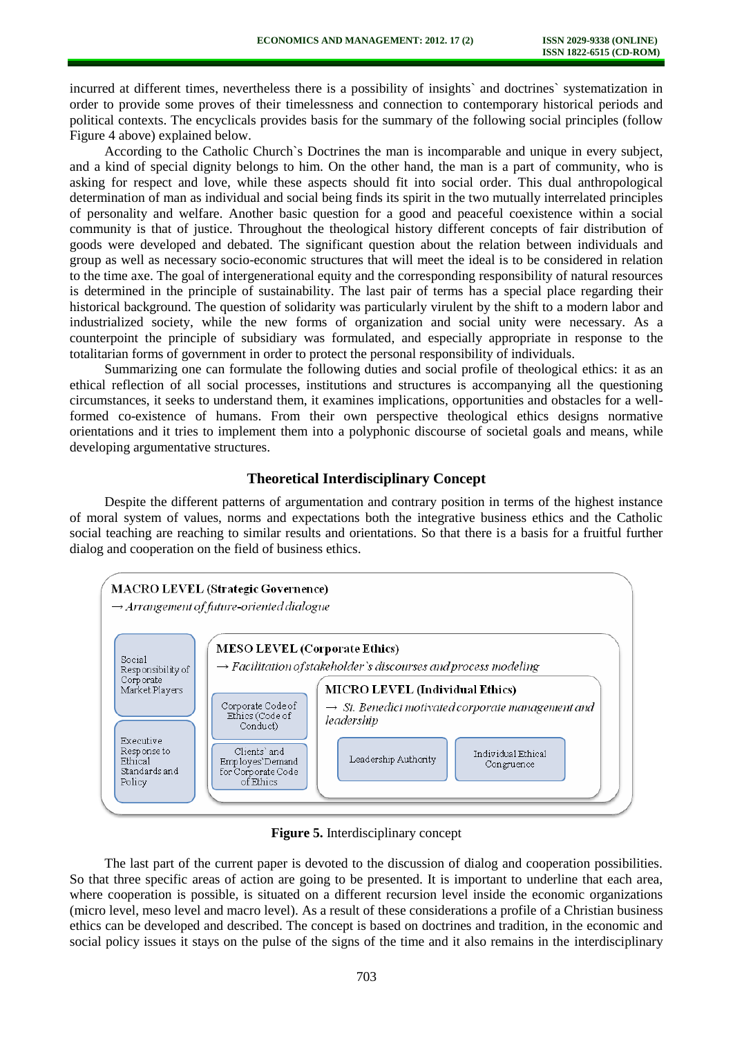incurred at different times, nevertheless there is a possibility of insights` and doctrines` systematization in order to provide some proves of their timelessness and connection to contemporary historical periods and political contexts. The encyclicals provides basis for the summary of the following social principles (follow Figure 4 above) explained below.

According to the Catholic Church`s Doctrines the man is incomparable and unique in every subject, and a kind of special dignity belongs to him. On the other hand, the man is a part of community, who is asking for respect and love, while these aspects should fit into social order. This dual anthropological determination of man as individual and social being finds its spirit in the two mutually interrelated principles of personality and welfare. Another basic question for a good and peaceful coexistence within a social community is that of justice. Throughout the theological history different concepts of fair distribution of goods were developed and debated. The significant question about the relation between individuals and group as well as necessary socio-economic structures that will meet the ideal is to be considered in relation to the time axe. The goal of intergenerational equity and the corresponding responsibility of natural resources is determined in the principle of sustainability. The last pair of terms has a special place regarding their historical background. The question of solidarity was particularly virulent by the shift to a modern labor and industrialized society, while the new forms of organization and social unity were necessary. As a counterpoint the principle of subsidiary was formulated, and especially appropriate in response to the totalitarian forms of government in order to protect the personal responsibility of individuals.

Summarizing one can formulate the following duties and social profile of theological ethics: it as an ethical reflection of all social processes, institutions and structures is accompanying all the questioning circumstances, it seeks to understand them, it examines implications, opportunities and obstacles for a wellformed co-existence of humans. From their own perspective theological ethics designs normative orientations and it tries to implement them into a polyphonic discourse of societal goals and means, while developing argumentative structures.

# **Theoretical Interdisciplinary Concept**

Despite the different patterns of argumentation and contrary position in terms of the highest instance of moral system of values, norms and expectations both the integrative business ethics and the Catholic social teaching are reaching to similar results and orientations. So that there is a basis for a fruitful further dialog and cooperation on the field of business ethics.



**Figure 5.** Interdisciplinary concept

The last part of the current paper is devoted to the discussion of dialog and cooperation possibilities. So that three specific areas of action are going to be presented. It is important to underline that each area, where cooperation is possible, is situated on a different recursion level inside the economic organizations (micro level, meso level and macro level). As a result of these considerations a profile of a Christian business ethics can be developed and described. The concept is based on doctrines and tradition, in the economic and social policy issues it stays on the pulse of the signs of the time and it also remains in the interdisciplinary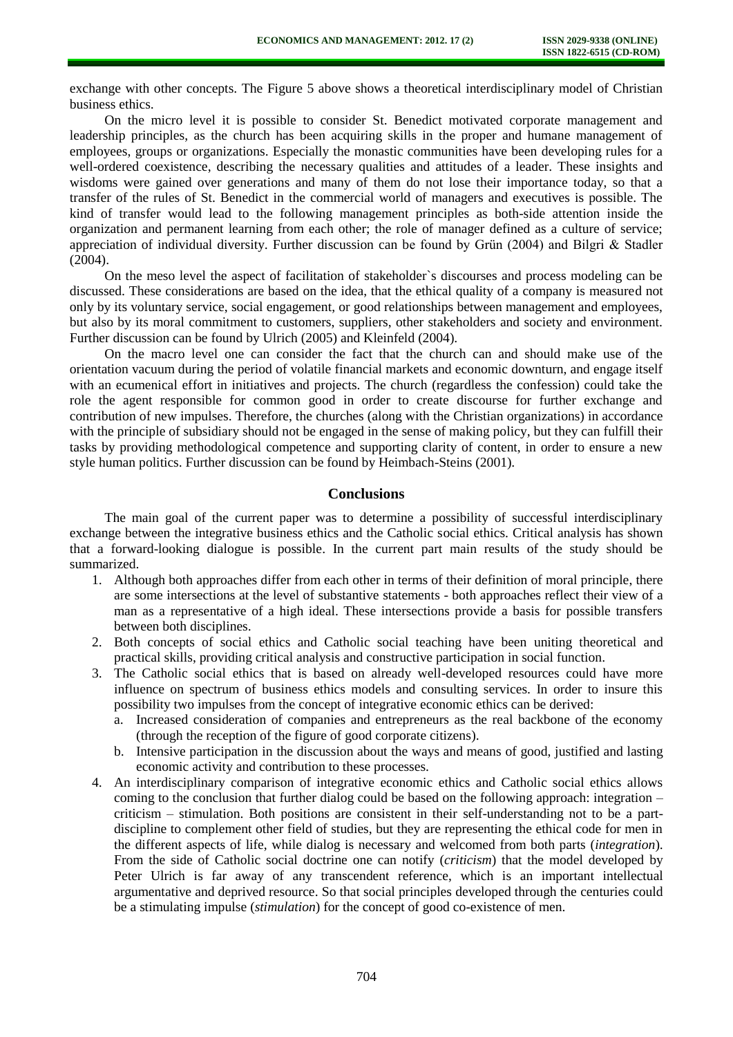exchange with other concepts. The Figure 5 above shows a theoretical interdisciplinary model of Christian business ethics.

On the micro level it is possible to consider St. Benedict motivated corporate management and leadership principles, as the church has been acquiring skills in the proper and humane management of employees, groups or organizations. Especially the monastic communities have been developing rules for a well-ordered coexistence, describing the necessary qualities and attitudes of a leader. These insights and wisdoms were gained over generations and many of them do not lose their importance today, so that a transfer of the rules of St. Benedict in the commercial world of managers and executives is possible. The kind of transfer would lead to the following management principles as both-side attention inside the organization and permanent learning from each other; the role of manager defined as a culture of service; appreciation of individual diversity. Further discussion can be found by Grün (2004) and Bilgri & Stadler (2004).

On the meso level the aspect of facilitation of stakeholder`s discourses and process modeling can be discussed. These considerations are based on the idea, that the ethical quality of a company is measured not only by its voluntary service, social engagement, or good relationships between management and employees, but also by its moral commitment to customers, suppliers, other stakeholders and society and environment. Further discussion can be found by Ulrich (2005) and Kleinfeld (2004).

On the macro level one can consider the fact that the church can and should make use of the orientation vacuum during the period of volatile financial markets and economic downturn, and engage itself with an ecumenical effort in initiatives and projects. The church (regardless the confession) could take the role the agent responsible for common good in order to create discourse for further exchange and contribution of new impulses. Therefore, the churches (along with the Christian organizations) in accordance with the principle of subsidiary should not be engaged in the sense of making policy, but they can fulfill their tasks by providing methodological competence and supporting clarity of content, in order to ensure a new style human politics. Further discussion can be found by Heimbach-Steins (2001).

#### **Conclusions**

The main goal of the current paper was to determine a possibility of successful interdisciplinary exchange between the integrative business ethics and the Catholic social ethics. Critical analysis has shown that a forward-looking dialogue is possible. In the current part main results of the study should be summarized.

- 1. Although both approaches differ from each other in terms of their definition of moral principle, there are some intersections at the level of substantive statements - both approaches reflect their view of a man as a representative of a high ideal. These intersections provide a basis for possible transfers between both disciplines.
- 2. Both concepts of social ethics and Catholic social teaching have been uniting theoretical and practical skills, providing critical analysis and constructive participation in social function.
- 3. The Catholic social ethics that is based on already well-developed resources could have more influence on spectrum of business ethics models and consulting services. In order to insure this possibility two impulses from the concept of integrative economic ethics can be derived:
	- a. Increased consideration of companies and entrepreneurs as the real backbone of the economy (through the reception of the figure of good corporate citizens).
	- b. Intensive participation in the discussion about the ways and means of good, justified and lasting economic activity and contribution to these processes.
- 4. An interdisciplinary comparison of integrative economic ethics and Catholic social ethics allows coming to the conclusion that further dialog could be based on the following approach: integration – criticism – stimulation. Both positions are consistent in their self-understanding not to be a partdiscipline to complement other field of studies, but they are representing the ethical code for men in the different aspects of life, while dialog is necessary and welcomed from both parts (*integration*). From the side of Catholic social doctrine one can notify (*criticism*) that the model developed by Peter Ulrich is far away of any transcendent reference, which is an important intellectual argumentative and deprived resource. So that social principles developed through the centuries could be a stimulating impulse (*stimulation*) for the concept of good co-existence of men.